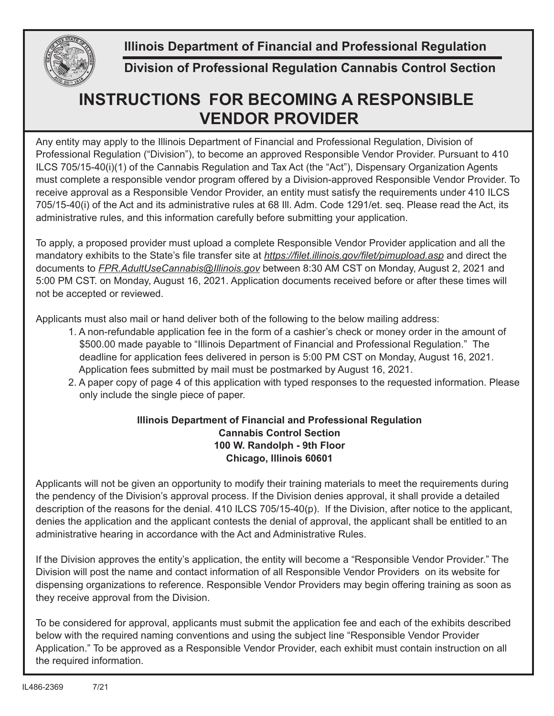**Illinois Department of Financial and Professional Regulation**



**Division of Professional Regulation Cannabis Control Section**

## **INSTRUCTIONS FOR BECOMING A RESPONSIBLE VENDOR PROVIDER**

Any entity may apply to the Illinois Department of Financial and Professional Regulation, Division of Professional Regulation ("Division"), to become an approved Responsible Vendor Provider. Pursuant to 410 ILCS 705/15-40(i)(1) of the Cannabis Regulation and Tax Act (the "Act"), Dispensary Organization Agents must complete a responsible vendor program offered by a Division-approved Responsible Vendor Provider. To receive approval as a Responsible Vendor Provider, an entity must satisfy the requirements under 410 ILCS 705/15-40(i) of the Act and its administrative rules at 68 Ill. Adm. Code 1291/et. seq. Please read the Act, its administrative rules, and this information carefully before submitting your application.

To apply, a proposed provider must upload a complete Responsible Vendor Provider application and all the mandatory exhibits to the State's file transfer site at *https://filet.illinois.gov/filet/pimupload.asp* and direct the documents to *FPR.AdultUseCannabis@Illinois.gov* between 8:30 AM CST on Monday, August 2, 2021 and 5:00 PM CST. on Monday, August 16, 2021. Application documents received before or after these times will not be accepted or reviewed.

Applicants must also mail or hand deliver both of the following to the below mailing address:

- 1. A non-refundable application fee in the form of a cashier's check or money order in the amount of \$500.00 made payable to "Illinois Department of Financial and Professional Regulation." The deadline for application fees delivered in person is 5:00 PM CST on Monday, August 16, 2021. Application fees submitted by mail must be postmarked by August 16, 2021.
- 2. A paper copy of page 4 of this application with typed responses to the requested information. Please only include the single piece of paper.

## **Illinois Department of Financial and Professional Regulation Cannabis Control Section 100 W. Randolph - 9th Floor Chicago, Illinois 60601**

Applicants will not be given an opportunity to modify their training materials to meet the requirements during the pendency of the Division's approval process. If the Division denies approval, it shall provide a detailed description of the reasons for the denial. 410 ILCS 705/15-40(p). If the Division, after notice to the applicant, denies the application and the applicant contests the denial of approval, the applicant shall be entitled to an administrative hearing in accordance with the Act and Administrative Rules.

If the Division approves the entity's application, the entity will become a "Responsible Vendor Provider." The Division will post the name and contact information of all Responsible Vendor Providers on its website for dispensing organizations to reference. Responsible Vendor Providers may begin offering training as soon as they receive approval from the Division.

To be considered for approval, applicants must submit the application fee and each of the exhibits described below with the required naming conventions and using the subject line "Responsible Vendor Provider Application." To be approved as a Responsible Vendor Provider, each exhibit must contain instruction on all the required information.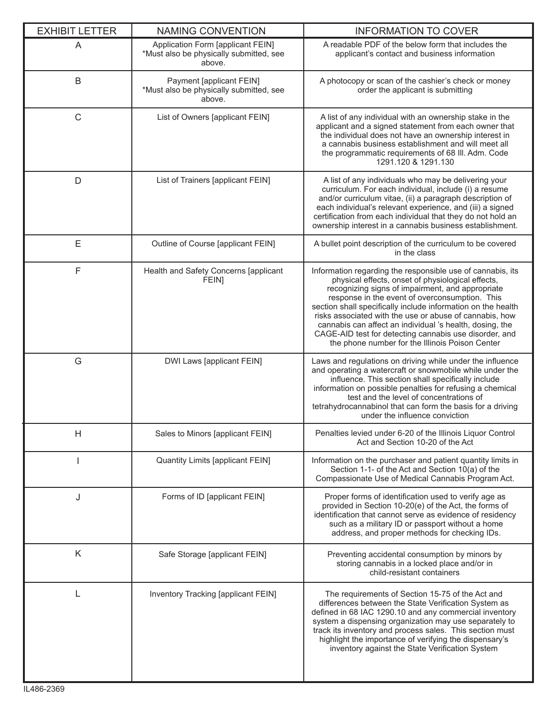| <b>EXHIBIT LETTER</b> | <b>NAMING CONVENTION</b>                                                               | <b>INFORMATION TO COVER</b>                                                                                                                                                                                                                                                                                                                                                                                                                                                                                               |  |
|-----------------------|----------------------------------------------------------------------------------------|---------------------------------------------------------------------------------------------------------------------------------------------------------------------------------------------------------------------------------------------------------------------------------------------------------------------------------------------------------------------------------------------------------------------------------------------------------------------------------------------------------------------------|--|
| A                     | Application Form [applicant FEIN]<br>*Must also be physically submitted, see<br>above. | A readable PDF of the below form that includes the<br>applicant's contact and business information                                                                                                                                                                                                                                                                                                                                                                                                                        |  |
| B                     | Payment [applicant FEIN]<br>*Must also be physically submitted, see<br>above.          | A photocopy or scan of the cashier's check or money<br>order the applicant is submitting                                                                                                                                                                                                                                                                                                                                                                                                                                  |  |
| $\mathsf C$           | List of Owners [applicant FEIN]                                                        | A list of any individual with an ownership stake in the<br>applicant and a signed statement from each owner that<br>the individual does not have an ownership interest in<br>a cannabis business establishment and will meet all<br>the programmatic requirements of 68 III. Adm. Code<br>1291.120 & 1291.130                                                                                                                                                                                                             |  |
| D                     | List of Trainers [applicant FEIN]                                                      | A list of any individuals who may be delivering your<br>curriculum. For each individual, include (i) a resume<br>and/or curriculum vitae, (ii) a paragraph description of<br>each individual's relevant experience, and (iii) a signed<br>certification from each individual that they do not hold an<br>ownership interest in a cannabis business establishment.                                                                                                                                                         |  |
| Ε                     | Outline of Course [applicant FEIN]                                                     | A bullet point description of the curriculum to be covered<br>in the class                                                                                                                                                                                                                                                                                                                                                                                                                                                |  |
| F                     | Health and Safety Concerns [applicant<br><b>FEIN]</b>                                  | Information regarding the responsible use of cannabis, its<br>physical effects, onset of physiological effects,<br>recognizing signs of impairment, and appropriate<br>response in the event of overconsumption. This<br>section shall specifically include information on the health<br>risks associated with the use or abuse of cannabis, how<br>cannabis can affect an individual 's health, dosing, the<br>CAGE-AID test for detecting cannabis use disorder, and<br>the phone number for the Illinois Poison Center |  |
| G                     | DWI Laws [applicant FEIN]                                                              | Laws and regulations on driving while under the influence<br>and operating a watercraft or snowmobile while under the<br>influence. This section shall specifically include<br>information on possible penalties for refusing a chemical<br>test and the level of concentrations of<br>tetrahydrocannabinol that can form the basis for a driving<br>under the influence conviction                                                                                                                                       |  |
| Н                     | Sales to Minors [applicant FEIN]                                                       | Penalties levied under 6-20 of the Illinois Liquor Control<br>Act and Section 10-20 of the Act                                                                                                                                                                                                                                                                                                                                                                                                                            |  |
|                       | <b>Quantity Limits [applicant FEIN]</b>                                                | Information on the purchaser and patient quantity limits in<br>Section 1-1- of the Act and Section 10(a) of the<br>Compassionate Use of Medical Cannabis Program Act.                                                                                                                                                                                                                                                                                                                                                     |  |
| J                     | Forms of ID [applicant FEIN]                                                           | Proper forms of identification used to verify age as<br>provided in Section 10-20(e) of the Act, the forms of<br>identification that cannot serve as evidence of residency<br>such as a military ID or passport without a home<br>address, and proper methods for checking IDs.                                                                                                                                                                                                                                           |  |
| Κ                     | Safe Storage [applicant FEIN]                                                          | Preventing accidental consumption by minors by<br>storing cannabis in a locked place and/or in<br>child-resistant containers                                                                                                                                                                                                                                                                                                                                                                                              |  |
|                       | Inventory Tracking [applicant FEIN]                                                    | The requirements of Section 15-75 of the Act and<br>differences between the State Verification System as<br>defined in 68 IAC 1290.10 and any commercial inventory<br>system a dispensing organization may use separately to<br>track its inventory and process sales. This section must<br>highlight the importance of verifying the dispensary's<br>inventory against the State Verification System                                                                                                                     |  |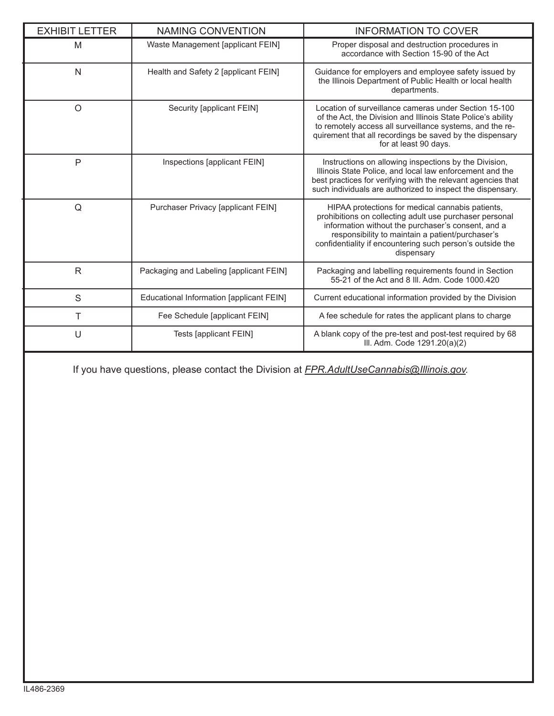| <b>EXHIBIT LETTER</b> | <b>NAMING CONVENTION</b>                 | <b>INFORMATION TO COVER</b>                                                                                                                                                                                                                                                                      |  |
|-----------------------|------------------------------------------|--------------------------------------------------------------------------------------------------------------------------------------------------------------------------------------------------------------------------------------------------------------------------------------------------|--|
| M                     | Waste Management [applicant FEIN]        | Proper disposal and destruction procedures in<br>accordance with Section 15-90 of the Act                                                                                                                                                                                                        |  |
| N                     | Health and Safety 2 [applicant FEIN]     | Guidance for employers and employee safety issued by<br>the Illinois Department of Public Health or local health<br>departments.                                                                                                                                                                 |  |
| $\circ$               | Security [applicant FEIN]                | Location of surveillance cameras under Section 15-100<br>of the Act, the Division and Illinois State Police's ability<br>to remotely access all surveillance systems, and the re-<br>quirement that all recordings be saved by the dispensary<br>for at least 90 days.                           |  |
| $\mathsf{P}$          | Inspections [applicant FEIN]             | Instructions on allowing inspections by the Division,<br>Illinois State Police, and local law enforcement and the<br>best practices for verifying with the relevant agencies that<br>such individuals are authorized to inspect the dispensary.                                                  |  |
| Q                     | Purchaser Privacy [applicant FEIN]       | HIPAA protections for medical cannabis patients,<br>prohibitions on collecting adult use purchaser personal<br>information without the purchaser's consent, and a<br>responsibility to maintain a patient/purchaser's<br>confidentiality if encountering such person's outside the<br>dispensary |  |
| $\mathsf{R}$          | Packaging and Labeling [applicant FEIN]  | Packaging and labelling requirements found in Section<br>55-21 of the Act and 8 III. Adm. Code 1000.420                                                                                                                                                                                          |  |
| S                     | Educational Information [applicant FEIN] | Current educational information provided by the Division                                                                                                                                                                                                                                         |  |
| Τ                     | Fee Schedule [applicant FEIN]            | A fee schedule for rates the applicant plans to charge                                                                                                                                                                                                                                           |  |
| U                     | <b>Tests [applicant FEIN]</b>            | A blank copy of the pre-test and post-test required by 68<br>III. Adm. Code 1291.20(a)(2)                                                                                                                                                                                                        |  |

If you have questions, please contact the Division at *FPR.AdultUseCannabis@Illinois.gov.*